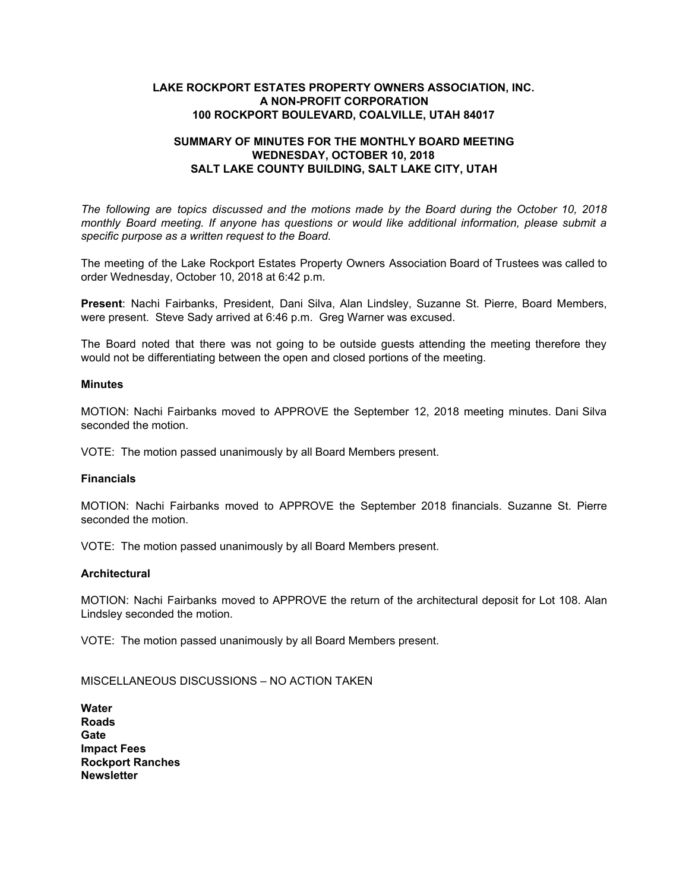## **LAKE ROCKPORT ESTATES PROPERTY OWNERS ASSOCIATION, INC. A NON-PROFIT CORPORATION 100 ROCKPORT BOULEVARD, COALVILLE, UTAH 84017**

# **SUMMARY OF MINUTES FOR THE MONTHLY BOARD MEETING WEDNESDAY, OCTOBER 10, 2018 SALT LAKE COUNTY BUILDING, SALT LAKE CITY, UTAH**

*The following are topics discussed and the motions made by the Board during the October 10, 2018 monthly Board meeting. If anyone has questions or would like additional information, please submit a specific purpose as a written request to the Board.*

The meeting of the Lake Rockport Estates Property Owners Association Board of Trustees was called to order Wednesday, October 10, 2018 at 6:42 p.m.

**Present**: Nachi Fairbanks, President, Dani Silva, Alan Lindsley, Suzanne St. Pierre, Board Members, were present. Steve Sady arrived at 6:46 p.m. Greg Warner was excused.

The Board noted that there was not going to be outside guests attending the meeting therefore they would not be differentiating between the open and closed portions of the meeting.

### **Minutes**

MOTION: Nachi Fairbanks moved to APPROVE the September 12, 2018 meeting minutes. Dani Silva seconded the motion.

VOTE: The motion passed unanimously by all Board Members present.

### **Financials**

MOTION: Nachi Fairbanks moved to APPROVE the September 2018 financials. Suzanne St. Pierre seconded the motion.

VOTE: The motion passed unanimously by all Board Members present.

### **Architectural**

MOTION: Nachi Fairbanks moved to APPROVE the return of the architectural deposit for Lot 108. Alan Lindsley seconded the motion.

VOTE: The motion passed unanimously by all Board Members present.

MISCELLANEOUS DISCUSSIONS – NO ACTION TAKEN

| Water                   |  |
|-------------------------|--|
| Roads                   |  |
| Gate                    |  |
| <b>Impact Fees</b>      |  |
| <b>Rockport Ranches</b> |  |
| <b>Newsletter</b>       |  |